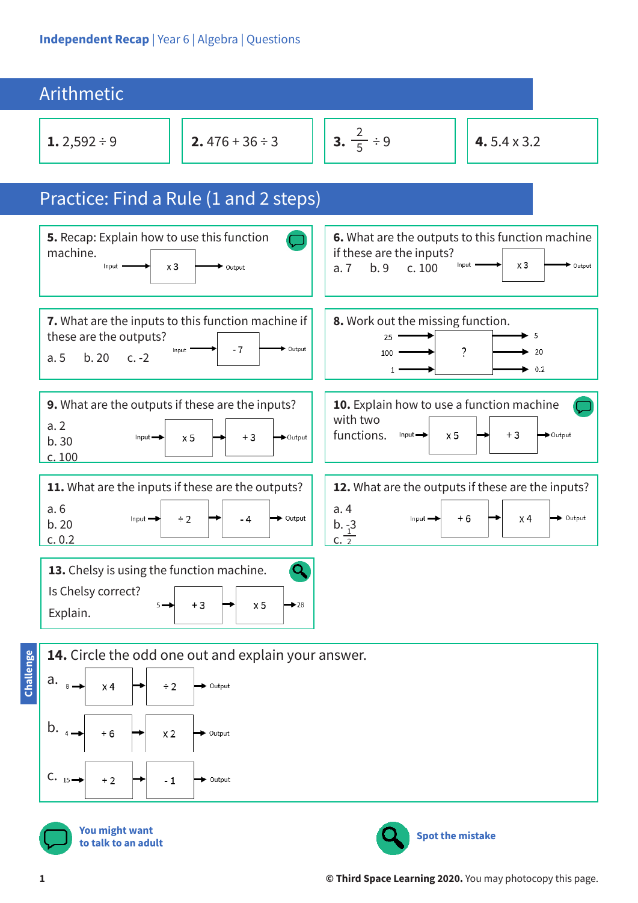| Arithmetic                                                                                                                                     |                                                                                                                                                  |  |  |
|------------------------------------------------------------------------------------------------------------------------------------------------|--------------------------------------------------------------------------------------------------------------------------------------------------|--|--|
| 2.476 + 36 ÷ 3<br>1.2,592 ÷ 9                                                                                                                  | 3. $\frac{2}{5} \div 9$<br>4.5.4 $\times$ 3.2                                                                                                    |  |  |
| Practice: Find a Rule (1 and 2 steps)                                                                                                          |                                                                                                                                                  |  |  |
| 5. Recap: Explain how to use this function<br>machine.<br>Input<br>x3<br>Output                                                                | 6. What are the outputs to this function machine<br>if these are the inputs?<br>$x_3$<br>Output<br>Input '<br>b.9<br>c.100<br>a.7                |  |  |
| 7. What are the inputs to this function machine if<br>these are the outputs?<br>$-7$<br>Output<br>Input<br>b.20<br>a.5<br>$c. -2$              | 8. Work out the missing function.<br>5<br>25<br>?<br>20<br>100<br>0.2<br>$\mathbf{1}$                                                            |  |  |
| 9. What are the outputs if these are the inputs?<br>a.2<br>$+3$<br>Input $\rightarrow$<br>$\times 5$<br>$\rightarrow$ Output<br>b.30<br>c. 100 | 10. Explain how to use a function machine<br>with two<br>functions.<br>$+3$<br>Input $\rightarrow$<br>x <sub>5</sub><br>$\rightarrow$ Output     |  |  |
| 11. What are the inputs if these are the outputs?<br>a.6<br>▶ Output<br>$\div$ 2<br>Input $\rightarrow$<br>- 4<br>b.20<br>c. 0.2               | 12. What are the outputs if these are the inputs?<br>a.4<br>→ Output<br>+6<br>x 4<br>Input $\rightarrow$<br>b. $\frac{3}{1}$<br>c. $\frac{1}{2}$ |  |  |
| 13. Chelsy is using the function machine.<br>Is Chelsy correct?<br>$+3$<br>x <sub>5</sub><br>$\blacktriangleright$ 28<br>$5 -$<br>Explain.     |                                                                                                                                                  |  |  |
| 14. Circle the odd one out and explain your answer.<br>Challenge<br>a.<br>x <sub>4</sub><br>Output<br>8<br>$\div 2$                            |                                                                                                                                                  |  |  |
| b.<br>$+6$<br>x <sub>2</sub><br>Output                                                                                                         |                                                                                                                                                  |  |  |
| $C. 15 -$<br>$+2$<br>Output                                                                                                                    |                                                                                                                                                  |  |  |



**You might want to talk to an adult**